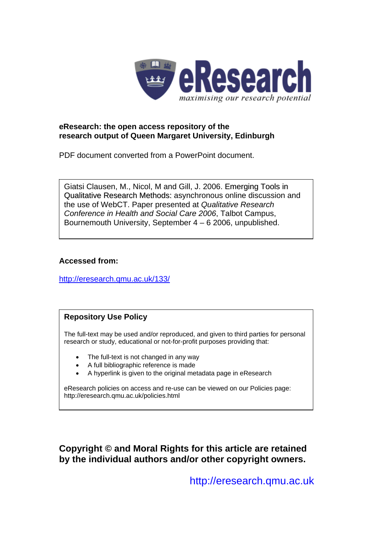

### **eResearch: the open access repository of the research output of Queen Margaret University, Edinburgh**

PDF document converted from a PowerPoint document.

Giatsi Clausen, M., Nicol, M and Gill, J. 2006. Emerging Tools in Qualitative Research Methods: asynchronous online discussion and the use of WebCT. Paper presented at *Qualitative Research Conference in Health and Social Care 2006*, Talbot Campus, Bournemouth University, September 4 – 6 2006, unpublished.

## **Accessed from:**

<http://eresearch.qmu.ac.uk/133/>

## **Repository Use Policy**

The full-text may be used and/or reproduced, and given to third parties for personal research or study, educational or not-for-profit purposes providing that:

- The full-text is not changed in any way
- A full bibliographic reference is made
- A hyperlink is given to the original metadata page in eResearch

eResearch policies on access and re-use can be viewed on our Policies page: <http://eresearch.qmu.ac.uk/policies.html>

**Copyright © and Moral Rights for this article are retained by the individual authors and/or other copyright owners.** 

[http://eresearch.qmu.ac.uk](http://eresearch.qmu.ac.uk/)